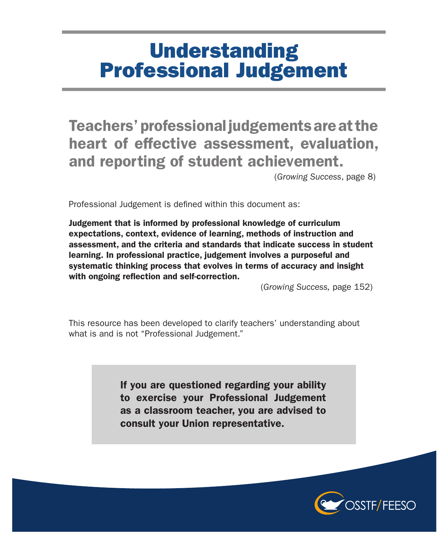## **Understanding** Professional Judgement

Teachers' professional judgements are at the heart of effective assessment, evaluation, and reporting of student achievement.

(*Growing Success*, page 8)

Professional Judgement is defined within this document as:

Judgement that is informed by professional knowledge of curriculum expectations, context, evidence of learning, methods of instruction and assessment, and the criteria and standards that indicate success in student learning. In professional practice, judgement involves a purposeful and systematic thinking process that evolves in terms of accuracy and insight with ongoing reflection and self-correction.

(*Growing Success,* page 152)

This resource has been developed to clarify teachers' understanding about what is and is not "Professional Judgement."

> If you are questioned regarding your ability to exercise your Professional Judgement as a classroom teacher, you are advised to consult your Union representative.

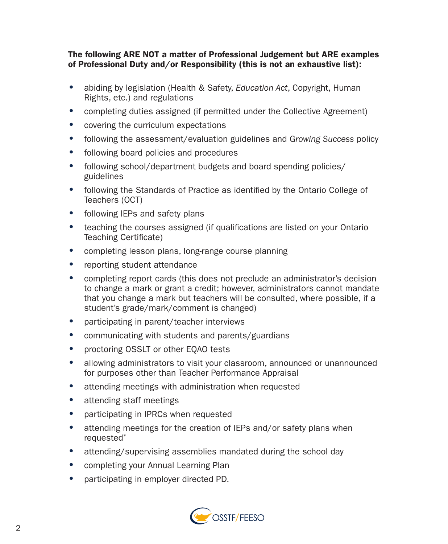## The following ARE NOT a matter of Professional Judgement but ARE examples of Professional Duty and/or Responsibility (this is not an exhaustive list):

- abiding by legislation (Health & Safety, *Education Act*, Copyright, Human Rights, etc.) and regulations
- completing duties assigned (if permitted under the Collective Agreement)
- covering the curriculum expectations
- following the assessment/evaluation guidelines and G*rowing Success* policy
- following board policies and procedures
- following school/department budgets and board spending policies/ guidelines
- following the Standards of Practice as identified by the Ontario College of Teachers (OCT)
- following IEPs and safety plans
- teaching the courses assigned (if qualifications are listed on your Ontario Teaching Certificate)
- completing lesson plans, long-range course planning
- reporting student attendance
- completing report cards (this does not preclude an administrator's decision to change a mark or grant a credit; however, administrators cannot mandate that you change a mark but teachers will be consulted, where possible, if a student's grade/mark/comment is changed)
- participating in parent/teacher interviews
- communicating with students and parents/guardians
- proctoring OSSLT or other EQAO tests
- allowing administrators to visit your classroom, announced or unannounced for purposes other than Teacher Performance Appraisal
- attending meetings with administration when requested
- attending staff meetings
- participating in IPRCs when requested
- attending meetings for the creation of IEPs and/or safety plans when requested\*
- attending/supervising assemblies mandated during the school day
- completing your Annual Learning Plan
- participating in employer directed PD.

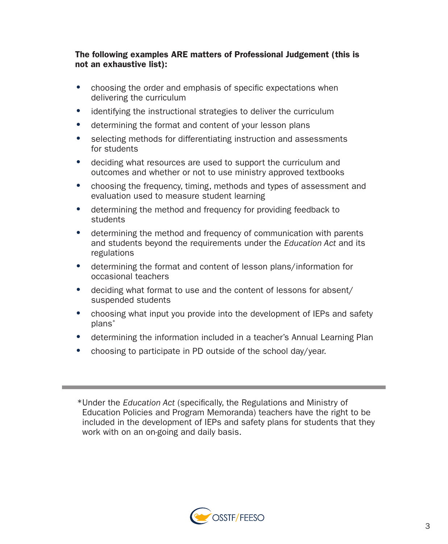The following examples ARE matters of Professional Judgement (this is not an exhaustive list):

- choosing the order and emphasis of specific expectations when delivering the curriculum
- identifying the instructional strategies to deliver the curriculum
- determining the format and content of your lesson plans
- selecting methods for differentiating instruction and assessments for students
- deciding what resources are used to support the curriculum and outcomes and whether or not to use ministry approved textbooks
- choosing the frequency, timing, methods and types of assessment and evaluation used to measure student learning
- determining the method and frequency for providing feedback to **students**
- determining the method and frequency of communication with parents and students beyond the requirements under the *Education Act* and its regulations
- determining the format and content of lesson plans/information for occasional teachers
- deciding what format to use and the content of lessons for absent/ suspended students
- choosing what input you provide into the development of IEPs and safety plans\*
- determining the information included in a teacher's Annual Learning Plan
- choosing to participate in PD outside of the school day/year.

\*Under the *Education Act* (specifically, the Regulations and Ministry of Education Policies and Program Memoranda) teachers have the right to be included in the development of IEPs and safety plans for students that they work with on an on-going and daily basis.